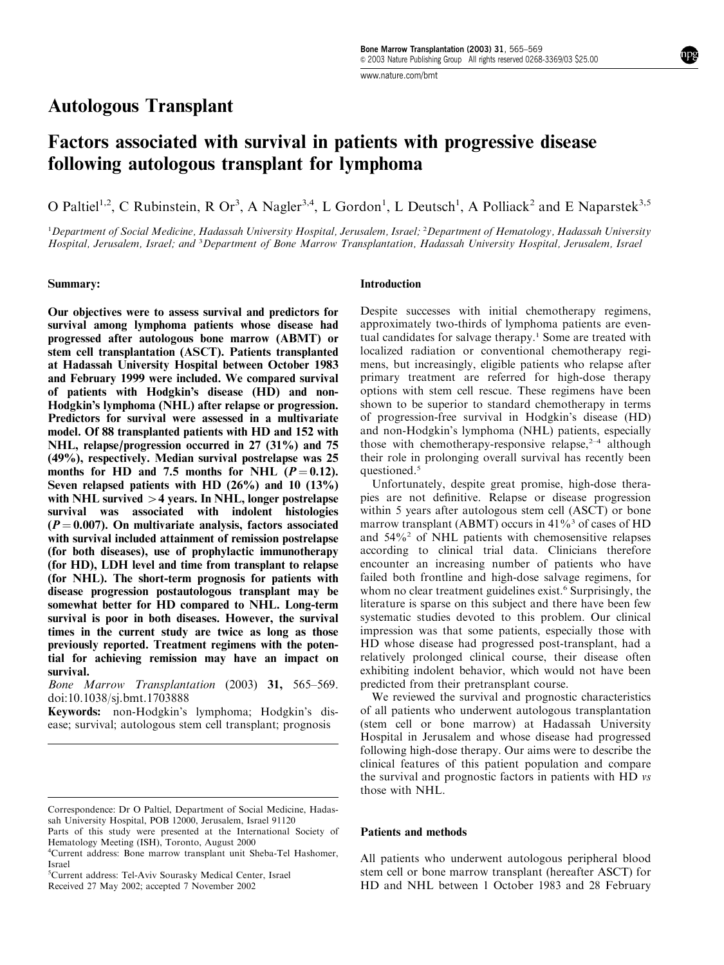www.nature.com/bmt

# Autologous Transplant

# Factors associated with survival in patients with progressive disease following autologous transplant for lymphoma

O Paltiel<sup>1,2</sup>, C Rubinstein, R Or<sup>3</sup>, A Nagler<sup>3,4</sup>, L Gordon<sup>1</sup>, L Deutsch<sup>1</sup>, A Polliack<sup>2</sup> and E Naparstek<sup>3,5</sup>

<sup>1</sup>Department of Social Medicine, Hadassah University Hospital, Jerusalem, Israel; <sup>2</sup>Department of Hematology, Hadassah University Hospital, Jerusalem, Israel; and <sup>3</sup>Department of Bone Marrow Transplantation, Hadassah University Hospital, Jerusalem, Israel

#### Summary:

Our objectives were to assess survival and predictors for survival among lymphoma patients whose disease had progressed after autologous bone marrow (ABMT) or stem cell transplantation (ASCT). Patients transplanted at Hadassah University Hospital between October 1983 and February 1999 were included. We compared survival of patients with Hodgkin's disease (HD) and non-Hodgkin's lymphoma (NHL) after relapse or progression. Predictors for survival were assessed in a multivariate model. Of 88 transplanted patients with HD and 152 with NHL, relapse/progression occurred in  $27$  (31%) and 75 (49%), respectively. Median survival postrelapse was 25 months for HD and 7.5 months for NHL  $(P = 0.12)$ . Seven relapsed patients with HD  $(26\%)$  and 10  $(13\%)$ with NHL survived  $>4$  years. In NHL, longer postrelapse survival was associated with indolent histologies  $(P = 0.007)$ . On multivariate analysis, factors associated with survival included attainment of remission postrelapse (for both diseases), use of prophylactic immunotherapy (for HD), LDH level and time from transplant to relapse (for NHL). The short-term prognosis for patients with disease progression postautologous transplant may be somewhat better for HD compared to NHL. Long-term survival is poor in both diseases. However, the survival times in the current study are twice as long as those previously reported. Treatment regimens with the potential for achieving remission may have an impact on survival.

Bone Marrow Transplantation (2003) 31, 565–569. doi:10.1038/sj.bmt.1703888

Keywords: non-Hodgkin's lymphoma; Hodgkin's disease; survival; autologous stem cell transplant; prognosis

5 Current address: Tel-Aviv Sourasky Medical Center, Israel

## **Introduction**

Despite successes with initial chemotherapy regimens, approximately two-thirds of lymphoma patients are eventual candidates for salvage therapy.<sup>1</sup> Some are treated with localized radiation or conventional chemotherapy regimens, but increasingly, eligible patients who relapse after primary treatment are referred for high-dose therapy options with stem cell rescue. These regimens have been shown to be superior to standard chemotherapy in terms of progression-free survival in Hodgkin's disease (HD) and non-Hodgkin's lymphoma (NHL) patients, especially those with chemotherapy-responsive relapse, $2-4$  although their role in prolonging overall survival has recently been questioned.<sup>5</sup>

Unfortunately, despite great promise, high-dose therapies are not definitive. Relapse or disease progression within 5 years after autologous stem cell (ASCT) or bone marrow transplant (ABMT) occurs in  $41\%$ <sup>3</sup> of cases of HD and  $54\%$ <sup>2</sup> of NHL patients with chemosensitive relapses according to clinical trial data. Clinicians therefore encounter an increasing number of patients who have failed both frontline and high-dose salvage regimens, for whom no clear treatment guidelines exist.<sup>6</sup> Surprisingly, the literature is sparse on this subject and there have been few systematic studies devoted to this problem. Our clinical impression was that some patients, especially those with HD whose disease had progressed post-transplant, had a relatively prolonged clinical course, their disease often exhibiting indolent behavior, which would not have been predicted from their pretransplant course.

We reviewed the survival and prognostic characteristics of all patients who underwent autologous transplantation (stem cell or bone marrow) at Hadassah University Hospital in Jerusalem and whose disease had progressed following high-dose therapy. Our aims were to describe the clinical features of this patient population and compare the survival and prognostic factors in patients with HD vs those with NHL.

#### Patients and methods

All patients who underwent autologous peripheral blood stem cell or bone marrow transplant (hereafter ASCT) for Received 27 May 2002; accepted 7 November 2002 **HD** and NHL between 1 October 1983 and 28 February

Correspondence: Dr O Paltiel, Department of Social Medicine, Hadassah University Hospital, POB 12000, Jerusalem, Israel 91120

Parts of this study were presented at the International Society of Hematology Meeting (ISH), Toronto, August 2000

<sup>4</sup> Current address: Bone marrow transplant unit Sheba-Tel Hashomer, Israel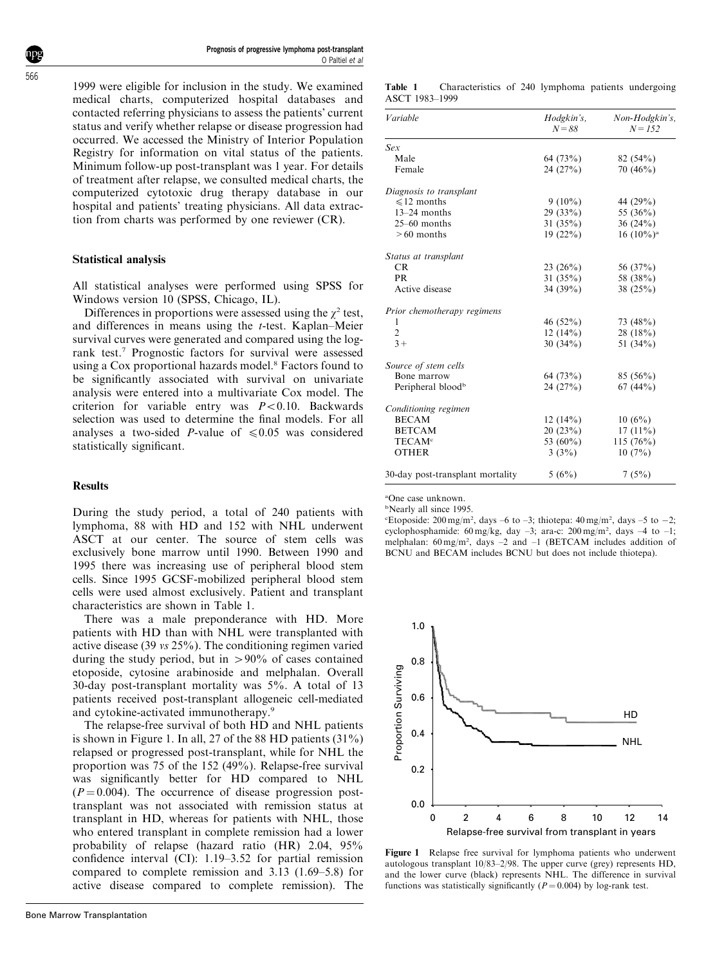1999 were eligible for inclusion in the study. We examined medical charts, computerized hospital databases and contacted referring physicians to assess the patients' current status and verify whether relapse or disease progression had occurred. We accessed the Ministry of Interior Population Registry for information on vital status of the patients. Minimum follow-up post-transplant was 1 year. For details of treatment after relapse, we consulted medical charts, the computerized cytotoxic drug therapy database in our hospital and patients' treating physicians. All data extraction from charts was performed by one reviewer (CR).

#### Statistical analysis

All statistical analyses were performed using SPSS for Windows version 10 (SPSS, Chicago, IL).

Differences in proportions were assessed using the  $\chi^2$  test, and differences in means using the t-test. Kaplan–Meier survival curves were generated and compared using the logrank test.<sup>7</sup> Prognostic factors for survival were assessed using a Cox proportional hazards model.<sup>8</sup> Factors found to be significantly associated with survival on univariate analysis were entered into a multivariate Cox model. The criterion for variable entry was  $P < 0.10$ . Backwards selection was used to determine the final models. For all analyses a two-sided *P*-value of  $\leq 0.05$  was considered statistically significant.

#### **Results**

During the study period, a total of 240 patients with lymphoma, 88 with HD and 152 with NHL underwent ASCT at our center. The source of stem cells was exclusively bone marrow until 1990. Between 1990 and 1995 there was increasing use of peripheral blood stem cells. Since 1995 GCSF-mobilized peripheral blood stem cells were used almost exclusively. Patient and transplant characteristics are shown in Table 1.

There was a male preponderance with HD. More patients with HD than with NHL were transplanted with active disease (39 vs 25%). The conditioning regimen varied during the study period, but in  $>90\%$  of cases contained etoposide, cytosine arabinoside and melphalan. Overall 30-day post-transplant mortality was 5%. A total of 13 patients received post-transplant allogeneic cell-mediated and cytokine-activated immunotherapy.<sup>9</sup>

The relapse-free survival of both HD and NHL patients is shown in Figure 1. In all, 27 of the 88 HD patients (31%) relapsed or progressed post-transplant, while for NHL the proportion was 75 of the 152 (49%). Relapse-free survival was significantly better for HD compared to NHL  $(P = 0.004)$ . The occurrence of disease progression posttransplant was not associated with remission status at transplant in HD, whereas for patients with NHL, those who entered transplant in complete remission had a lower probability of relapse (hazard ratio (HR) 2.04, 95% confidence interval (CI): 1.19–3.52 for partial remission compared to complete remission and 3.13 (1.69–5.8) for active disease compared to complete remission). The

| Variable                         | Hodgkin's,<br>$N = 88$ | Non-Hodgkin's,<br>$N = 1.52$ |
|----------------------------------|------------------------|------------------------------|
| Sex                              |                        |                              |
| Male                             | 64 (73%)               | 82(54%)                      |
| Female                           | 24(27%)                | 70(46%)                      |
| Diagnosis to transplant          |                        |                              |
| $\leq 12$ months                 | $9(10\%)$              | 44 (29%)                     |
| $13-24$ months                   | 29(33%)                | 55 (36%)                     |
| $25-60$ months                   | 31 $(35%)$             | 36(24%)                      |
| $>60$ months                     | 19(22%)                | $16(10\%)^a$                 |
| Status at transplant             |                        |                              |
| CR                               | 23(26%)                | 56 (37%)                     |
| PR                               | 31 $(35%)$             | 58 (38%)                     |
| Active disease                   | 34 $(39%)$             | 38 $(25%)$                   |
| Prior chemotherapy regimens      |                        |                              |
| 1                                | 46(52%)                | 73 (48%)                     |
| $\overline{2}$                   | 12(14%)                | $28(18\%)$                   |
| $3+$                             | 30(34%)                | 51 $(34\%)$                  |
| Source of stem cells             |                        |                              |
| Bone marrow                      | 64 (73%)               | $85(56\%)$                   |
| Peripheral blood <sup>b</sup>    | 24(27%)                | 67(44%)                      |
| Conditioning regimen             |                        |                              |
| <b>BECAM</b>                     | 12(14%)                | 10(6%)                       |
| <b>BETCAM</b>                    | 20(23%)                | $17(11\%)$                   |
| <b>TECAM<sup>c</sup></b>         | 53 $(60\%)$            | 115(76%)                     |
| <b>OTHER</b>                     | 3(3%)                  | $10(7\%)$                    |
| 30-day post-transplant mortality | 5(6%)                  | 7(5%)                        |

a One case unknown.

<sup>b</sup>Nearly all since 1995.

Etoposide:  $200 \text{ mg/m}^2$ , days  $-6$  to  $-3$ ; thiotepa:  $40 \text{ mg/m}^2$ , days  $-5$  to  $-2$ ; cyclophosphamide: 60 mg/kg, day  $-3$ ; ara-c: 200 mg/m<sup>2</sup>, days  $-4$  to  $-1$ ; melphalan:  $60 \text{ mg/m}^2$ , days  $-2$  and  $-1$  (BETCAM includes addition of BCNU and BECAM includes BCNU but does not include thiotepa).



Figure 1 Relapse free survival for lymphoma patients who underwent autologous transplant 10/83–2/98. The upper curve (grey) represents HD, and the lower curve (black) represents NHL. The difference in survival functions was statistically significantly  $(P = 0.004)$  by log-rank test.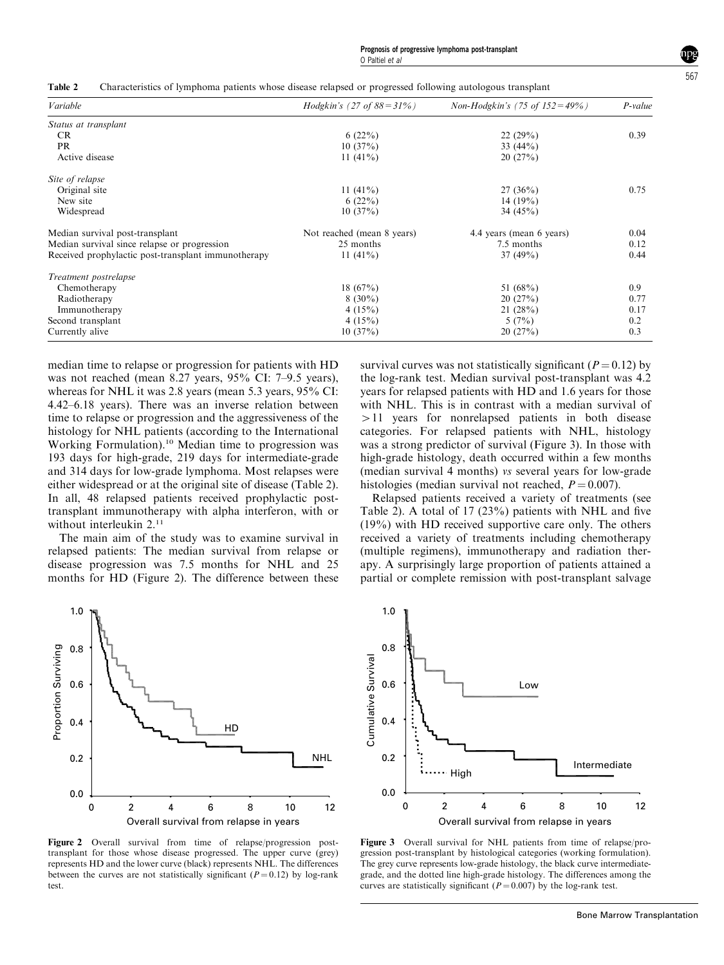|  | Table 2 Characteristics of lymphoma patients whose disease relapsed or progressed following autologous transplant |  |  |  |  |
|--|-------------------------------------------------------------------------------------------------------------------|--|--|--|--|
|--|-------------------------------------------------------------------------------------------------------------------|--|--|--|--|

| Variable                                            | <i>Hodgkin's</i> (27 of $88 = 31\%$ ) | <i>Non-Hodgkin's</i> (75 of $152 = 49\%$ ) | P-value |
|-----------------------------------------------------|---------------------------------------|--------------------------------------------|---------|
| Status at transplant                                |                                       |                                            |         |
| <b>CR</b>                                           | 6(22%)                                | 22(29%)                                    | 0.39    |
| <b>PR</b>                                           | 10(37%)                               | 33 $(44\%)$                                |         |
| Active disease                                      | 11 $(41\%)$                           | 20(27%)                                    |         |
| Site of relapse                                     |                                       |                                            |         |
| Original site                                       | 11 $(41\%)$                           | $27(36\%)$                                 | 0.75    |
| New site                                            | 6(22%)                                | 14 $(19%)$                                 |         |
| Widespread                                          | 10(37%)                               | 34 $(45\%)$                                |         |
| Median survival post-transplant                     | Not reached (mean 8 years)            | 4.4 years (mean 6 years)                   | 0.04    |
| Median survival since relapse or progression        | 25 months                             | 7.5 months                                 | 0.12    |
| Received prophylactic post-transplant immunotherapy | 11 $(41\%)$                           | $37(49\%)$                                 | 0.44    |
| Treatment postrelapse                               |                                       |                                            |         |
| Chemotherapy                                        | $18(67\%)$                            | 51 $(68\%)$                                | 0.9     |
| Radiotherapy                                        | $8(30\%)$                             | 20(27%)                                    | 0.77    |
| Immunotherapy                                       | 4(15%)                                | 21(28%)                                    | 0.17    |
| Second transplant                                   | 4(15%)                                | 5(7%)                                      | 0.2     |
| Currently alive                                     | 10(37%)                               | 20(27%)                                    | 0.3     |

median time to relapse or progression for patients with HD was not reached (mean 8.27 years, 95% CI: 7–9.5 years), whereas for NHL it was 2.8 years (mean 5.3 years, 95% CI: 4.42–6.18 years). There was an inverse relation between time to relapse or progression and the aggressiveness of the histology for NHL patients (according to the International Working Formulation).<sup>10</sup> Median time to progression was 193 days for high-grade, 219 days for intermediate-grade and 314 days for low-grade lymphoma. Most relapses were either widespread or at the original site of disease (Table 2). In all, 48 relapsed patients received prophylactic posttransplant immunotherapy with alpha interferon, with or without interleukin 2.<sup>11</sup>

The main aim of the study was to examine survival in relapsed patients: The median survival from relapse or disease progression was 7.5 months for NHL and 25 months for HD (Figure 2). The difference between these



Figure 2 Overall survival from time of relapse/progression posttransplant for those whose disease progressed. The upper curve (grey) represents HD and the lower curve (black) represents NHL. The differences between the curves are not statistically significant ( $P = 0.12$ ) by log-rank test.

survival curves was not statistically significant ( $P = 0.12$ ) by the log-rank test. Median survival post-transplant was 4.2 years for relapsed patients with HD and 1.6 years for those with NHL. This is in contrast with a median survival of  $>11$  years for nonrelapsed patients in both disease categories. For relapsed patients with NHL, histology was a strong predictor of survival (Figure 3). In those with high-grade histology, death occurred within a few months (median survival 4 months) vs several years for low-grade histologies (median survival not reached,  $P = 0.007$ ).

Relapsed patients received a variety of treatments (see Table 2). A total of 17 (23%) patients with NHL and five (19%) with HD received supportive care only. The others received a variety of treatments including chemotherapy (multiple regimens), immunotherapy and radiation therapy. A surprisingly large proportion of patients attained a partial or complete remission with post-transplant salvage



Figure 3 Overall survival for NHL patients from time of relapse/progression post-transplant by histological categories (working formulation). The grey curve represents low-grade histology, the black curve intermediategrade, and the dotted line high-grade histology. The differences among the curves are statistically significant ( $P = 0.007$ ) by the log-rank test.

567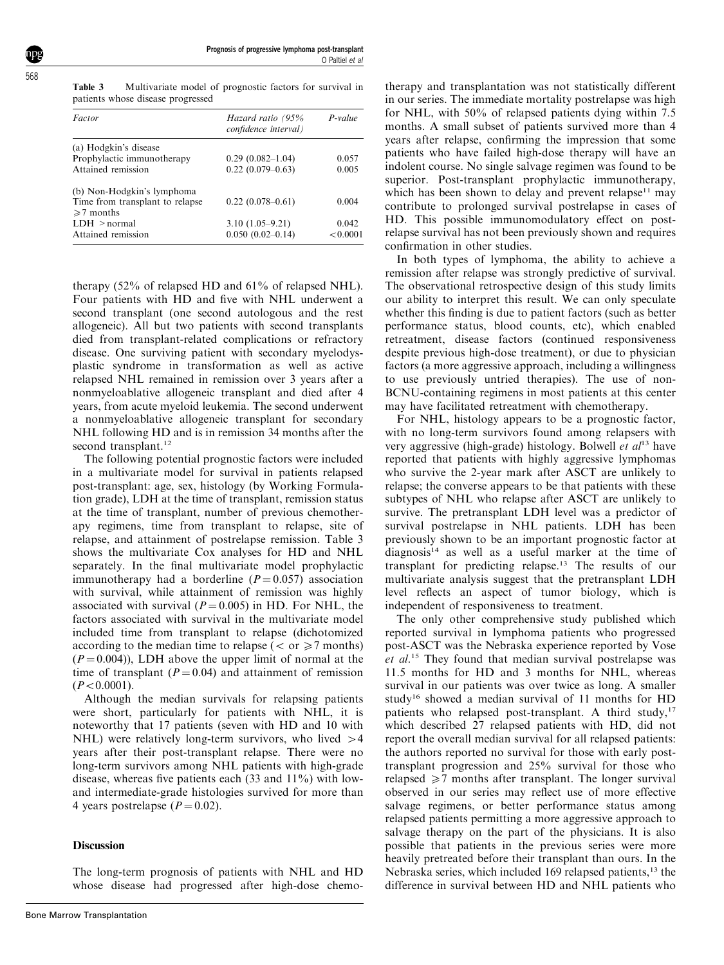Table 3 Multivariate model of prognostic factors for survival in patients whose disease progressed

| Factor                          | Hazard ratio (95%<br>confidence interval) | $P-value$ |  |
|---------------------------------|-------------------------------------------|-----------|--|
| (a) Hodgkin's disease           |                                           |           |  |
| Prophylactic immunotherapy      | $0.29(0.082 - 1.04)$                      | 0.057     |  |
| Attained remission              | $0.22(0.079-0.63)$                        | 0.005     |  |
| (b) Non-Hodgkin's lymphoma      |                                           |           |  |
| Time from transplant to relapse | $0.22(0.078 - 0.61)$                      | 0.004     |  |
| $\geq 7$ months                 |                                           |           |  |
| LDH > normal                    | $3.10(1.05 - 9.21)$                       | 0.042     |  |
| Attained remission              | $0.050(0.02-0.14)$                        | < 0.0001  |  |

therapy (52% of relapsed HD and 61% of relapsed NHL). Four patients with HD and five with NHL underwent a second transplant (one second autologous and the rest allogeneic). All but two patients with second transplants died from transplant-related complications or refractory disease. One surviving patient with secondary myelodysplastic syndrome in transformation as well as active relapsed NHL remained in remission over 3 years after a nonmyeloablative allogeneic transplant and died after 4 years, from acute myeloid leukemia. The second underwent a nonmyeloablative allogeneic transplant for secondary NHL following HD and is in remission 34 months after the second transplant.<sup>12</sup>

The following potential prognostic factors were included in a multivariate model for survival in patients relapsed post-transplant: age, sex, histology (by Working Formulation grade), LDH at the time of transplant, remission status at the time of transplant, number of previous chemotherapy regimens, time from transplant to relapse, site of relapse, and attainment of postrelapse remission. Table 3 shows the multivariate Cox analyses for HD and NHL separately. In the final multivariate model prophylactic immunotherapy had a borderline  $(P = 0.057)$  association with survival, while attainment of remission was highly associated with survival ( $P = 0.005$ ) in HD. For NHL, the factors associated with survival in the multivariate model included time from transplant to relapse (dichotomized according to the median time to relapse ( $\langle$  or  $\geq$ 7 months)  $(P = 0.004)$ ). LDH above the upper limit of normal at the time of transplant  $(P = 0.04)$  and attainment of remission  $(P<0.0001)$ .

Although the median survivals for relapsing patients were short, particularly for patients with NHL, it is noteworthy that 17 patients (seven with HD and 10 with NHL) were relatively long-term survivors, who lived  $>4$ years after their post-transplant relapse. There were no long-term survivors among NHL patients with high-grade disease, whereas five patients each (33 and 11%) with lowand intermediate-grade histologies survived for more than 4 years postrelapse  $(P = 0.02)$ .

#### **Discussion**

The long-term prognosis of patients with NHL and HD whose disease had progressed after high-dose chemo-

therapy and transplantation was not statistically different in our series. The immediate mortality postrelapse was high for NHL, with 50% of relapsed patients dying within 7.5 months. A small subset of patients survived more than 4 years after relapse, confirming the impression that some patients who have failed high-dose therapy will have an indolent course. No single salvage regimen was found to be superior. Post-transplant prophylactic immunotherapy, which has been shown to delay and prevent relapse<sup>11</sup> may contribute to prolonged survival postrelapse in cases of HD. This possible immunomodulatory effect on postrelapse survival has not been previously shown and requires confirmation in other studies.

In both types of lymphoma, the ability to achieve a remission after relapse was strongly predictive of survival. The observational retrospective design of this study limits our ability to interpret this result. We can only speculate whether this finding is due to patient factors (such as better performance status, blood counts, etc), which enabled retreatment, disease factors (continued responsiveness despite previous high-dose treatment), or due to physician factors (a more aggressive approach, including a willingness to use previously untried therapies). The use of non-BCNU-containing regimens in most patients at this center may have facilitated retreatment with chemotherapy.

For NHL, histology appears to be a prognostic factor, with no long-term survivors found among relapsers with very aggressive (high-grade) histology. Bolwell et  $al^{13}$  have reported that patients with highly aggressive lymphomas who survive the 2-year mark after ASCT are unlikely to relapse; the converse appears to be that patients with these subtypes of NHL who relapse after ASCT are unlikely to survive. The pretransplant LDH level was a predictor of survival postrelapse in NHL patients. LDH has been previously shown to be an important prognostic factor at diagnosis14 as well as a useful marker at the time of transplant for predicting relapse.13 The results of our multivariate analysis suggest that the pretransplant LDH level reflects an aspect of tumor biology, which is independent of responsiveness to treatment.

The only other comprehensive study published which reported survival in lymphoma patients who progressed post-ASCT was the Nebraska experience reported by Vose et al.<sup>15</sup> They found that median survival postrelapse was 11.5 months for HD and 3 months for NHL, whereas survival in our patients was over twice as long. A smaller study<sup>16</sup> showed a median survival of 11 months for HD patients who relapsed post-transplant. A third study, $17$ which described 27 relapsed patients with HD, did not report the overall median survival for all relapsed patients: the authors reported no survival for those with early posttransplant progression and 25% survival for those who relapsed  $\geq 7$  months after transplant. The longer survival observed in our series may reflect use of more effective salvage regimens, or better performance status among relapsed patients permitting a more aggressive approach to salvage therapy on the part of the physicians. It is also possible that patients in the previous series were more heavily pretreated before their transplant than ours. In the Nebraska series, which included 169 relapsed patients,<sup>13</sup> the difference in survival between HD and NHL patients who